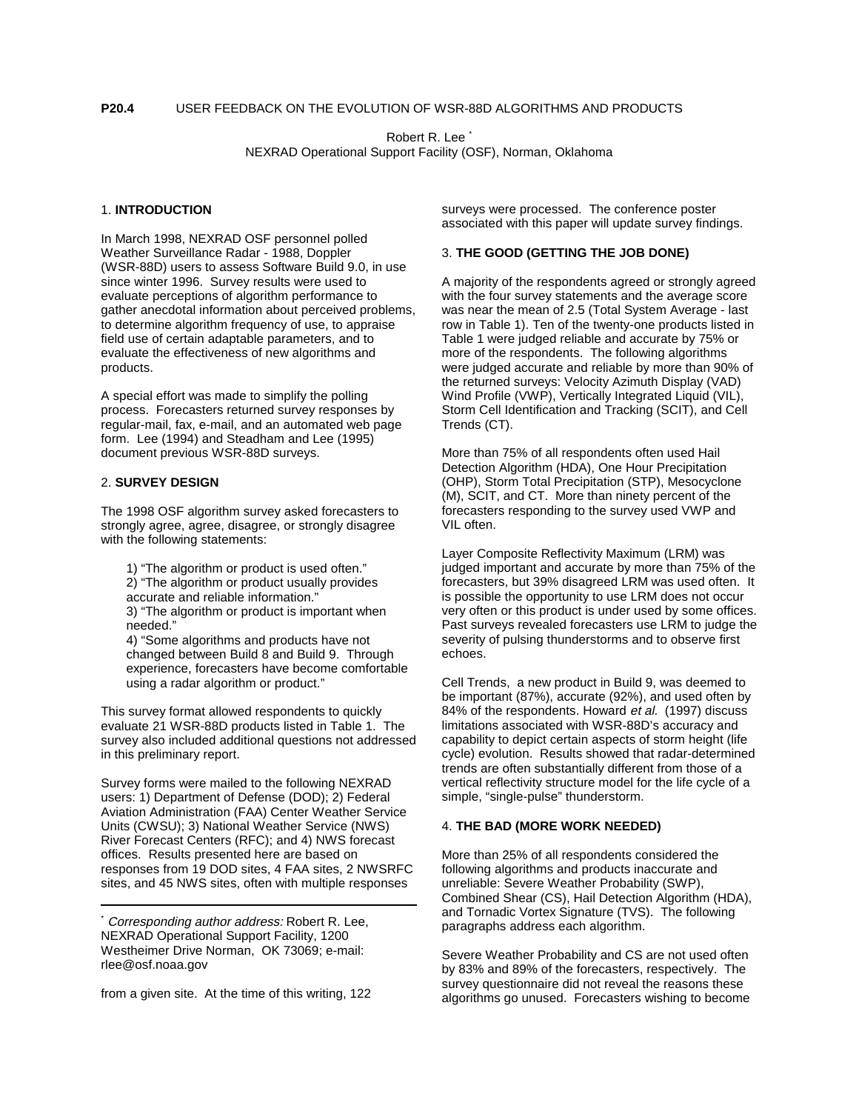Robert R. Lee \* NEXRAD Operational Support Facility (OSF), Norman, Oklahoma

## 1. **INTRODUCTION**

In March 1998, NEXRAD OSF personnel polled Weather Surveillance Radar - 1988, Doppler (WSR-88D) users to assess Software Build 9.0, in use since winter 1996. Survey results were used to evaluate perceptions of algorithm performance to gather anecdotal information about perceived problems, to determine algorithm frequency of use, to appraise field use of certain adaptable parameters, and to evaluate the effectiveness of new algorithms and products.

A special effort was made to simplify the polling process. Forecasters returned survey responses by regular-mail, fax, e-mail, and an automated web page form. Lee (1994) and Steadham and Lee (1995) document previous WSR-88D surveys.

## 2. **SURVEY DESIGN**

The 1998 OSF algorithm survey asked forecasters to strongly agree, agree, disagree, or strongly disagree with the following statements:

- 1) "The algorithm or product is used often."
- 2) "The algorithm or product usually provides
- accurate and reliable information."

3) "The algorithm or product is important when needed."

4) "Some algorithms and products have not changed between Build 8 and Build 9. Through experience, forecasters have become comfortable using a radar algorithm or product."

This survey format allowed respondents to quickly evaluate 21 WSR-88D products listed in Table 1. The survey also included additional questions not addressed in this preliminary report.

Survey forms were mailed to the following NEXRAD users: 1) Department of Defense (DOD); 2) Federal Aviation Administration (FAA) Center Weather Service Units (CWSU); 3) National Weather Service (NWS) River Forecast Centers (RFC); and 4) NWS forecast offices. Results presented here are based on responses from 19 DOD sites, 4 FAA sites, 2 NWSRFC sites, and 45 NWS sites, often with multiple responses

from a given site. At the time of this writing, 122

surveys were processed. The conference poster associated with this paper will update survey findings.

## 3. **THE GOOD (GETTING THE JOB DONE)**

A majority of the respondents agreed or strongly agreed with the four survey statements and the average score was near the mean of 2.5 (Total System Average - last row in Table 1). Ten of the twenty-one products listed in Table 1 were judged reliable and accurate by 75% or more of the respondents. The following algorithms were judged accurate and reliable by more than 90% of the returned surveys: Velocity Azimuth Display (VAD) Wind Profile (VWP), Vertically Integrated Liquid (VIL), Storm Cell Identification and Tracking (SCIT), and Cell Trends (CT).

More than 75% of all respondents often used Hail Detection Algorithm (HDA), One Hour Precipitation (OHP), Storm Total Precipitation (STP), Mesocyclone (M), SCIT, and CT. More than ninety percent of the forecasters responding to the survey used VWP and VIL often.

Layer Composite Reflectivity Maximum (LRM) was judged important and accurate by more than 75% of the forecasters, but 39% disagreed LRM was used often. It is possible the opportunity to use LRM does not occur very often or this product is under used by some offices. Past surveys revealed forecasters use LRM to judge the severity of pulsing thunderstorms and to observe first echoes.

Cell Trends, a new product in Build 9, was deemed to be important (87%), accurate (92%), and used often by 84% of the respondents. Howard et al. (1997) discuss limitations associated with WSR-88D's accuracy and capability to depict certain aspects of storm height (life cycle) evolution. Results showed that radar-determined trends are often substantially different from those of a vertical reflectivity structure model for the life cycle of a simple, "single-pulse" thunderstorm.

# 4. **THE BAD (MORE WORK NEEDED)**

More than 25% of all respondents considered the following algorithms and products inaccurate and unreliable: Severe Weather Probability (SWP), Combined Shear (CS), Hail Detection Algorithm (HDA), and Tornadic Vortex Signature (TVS). The following paragraphs address each algorithm.

Severe Weather Probability and CS are not used often by 83% and 89% of the forecasters, respectively. The survey questionnaire did not reveal the reasons these algorithms go unused. Forecasters wishing to become

Corresponding author address: Robert R. Lee, NEXRAD Operational Support Facility, 1200 Westheimer Drive Norman, OK 73069; e-mail: rlee@osf.noaa.gov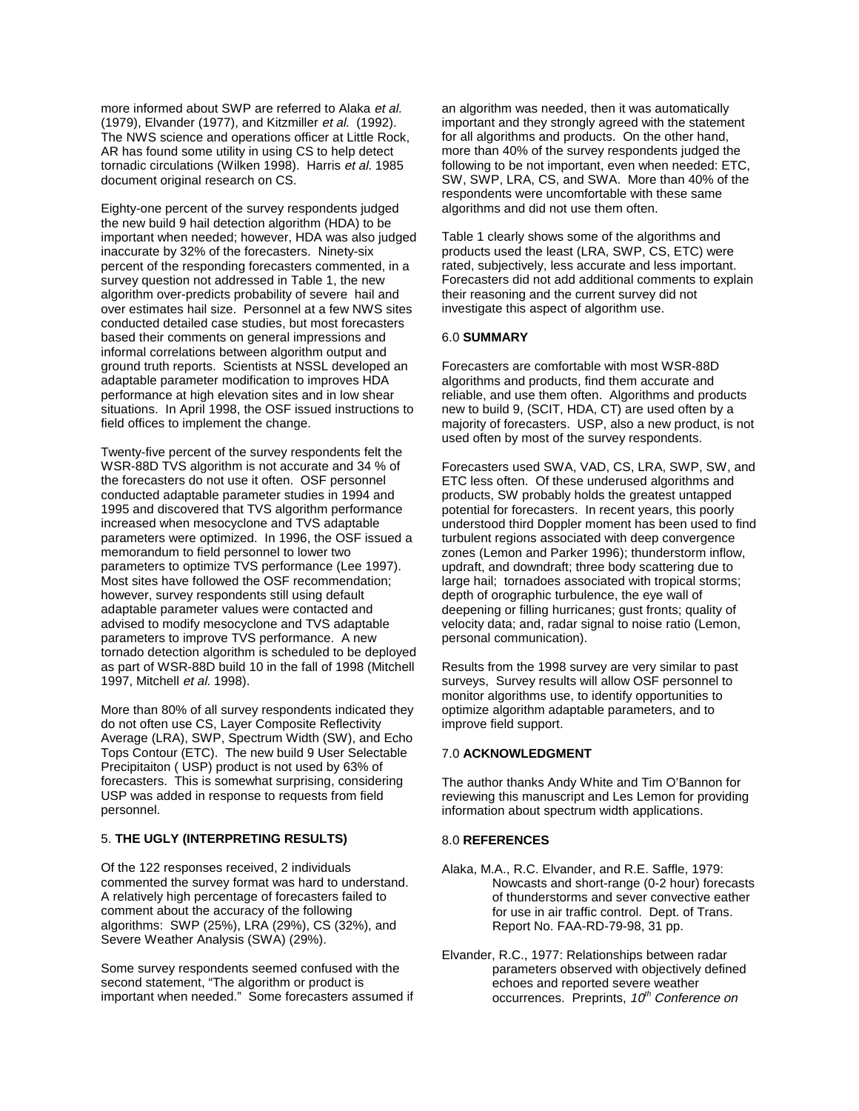more informed about SWP are referred to Alaka et al. (1979), Elvander (1977), and Kitzmiller et al. (1992). The NWS science and operations officer at Little Rock, AR has found some utility in using CS to help detect tornadic circulations (Wilken 1998). Harris et al. 1985 document original research on CS.

Eighty-one percent of the survey respondents judged the new build 9 hail detection algorithm (HDA) to be important when needed; however, HDA was also judged inaccurate by 32% of the forecasters. Ninety-six percent of the responding forecasters commented, in a survey question not addressed in Table 1, the new algorithm over-predicts probability of severe hail and over estimates hail size. Personnel at a few NWS sites conducted detailed case studies, but most forecasters based their comments on general impressions and informal correlations between algorithm output and ground truth reports. Scientists at NSSL developed an adaptable parameter modification to improves HDA performance at high elevation sites and in low shear situations. In April 1998, the OSF issued instructions to field offices to implement the change.

Twenty-five percent of the survey respondents felt the WSR-88D TVS algorithm is not accurate and 34 % of the forecasters do not use it often. OSF personnel conducted adaptable parameter studies in 1994 and 1995 and discovered that TVS algorithm performance increased when mesocyclone and TVS adaptable parameters were optimized. In 1996, the OSF issued a memorandum to field personnel to lower two parameters to optimize TVS performance (Lee 1997). Most sites have followed the OSF recommendation; however, survey respondents still using default adaptable parameter values were contacted and advised to modify mesocyclone and TVS adaptable parameters to improve TVS performance. A new tornado detection algorithm is scheduled to be deployed as part of WSR-88D build 10 in the fall of 1998 (Mitchell 1997, Mitchell et al. 1998).

More than 80% of all survey respondents indicated they do not often use CS, Layer Composite Reflectivity Average (LRA), SWP, Spectrum Width (SW), and Echo Tops Contour (ETC). The new build 9 User Selectable Precipitaiton ( USP) product is not used by 63% of forecasters. This is somewhat surprising, considering USP was added in response to requests from field personnel.

## 5. **THE UGLY (INTERPRETING RESULTS)**

Of the 122 responses received, 2 individuals commented the survey format was hard to understand. A relatively high percentage of forecasters failed to comment about the accuracy of the following algorithms: SWP (25%), LRA (29%), CS (32%), and Severe Weather Analysis (SWA) (29%).

Some survey respondents seemed confused with the second statement. "The algorithm or product is important when needed." Some forecasters assumed if an algorithm was needed, then it was automatically important and they strongly agreed with the statement for all algorithms and products. On the other hand, more than 40% of the survey respondents judged the following to be not important, even when needed: ETC, SW, SWP, LRA, CS, and SWA. More than 40% of the respondents were uncomfortable with these same algorithms and did not use them often.

Table 1 clearly shows some of the algorithms and products used the least (LRA, SWP, CS, ETC) were rated, subjectively, less accurate and less important. Forecasters did not add additional comments to explain their reasoning and the current survey did not investigate this aspect of algorithm use.

#### 6.0 **SUMMARY**

Forecasters are comfortable with most WSR-88D algorithms and products, find them accurate and reliable, and use them often. Algorithms and products new to build 9, (SCIT, HDA, CT) are used often by a majority of forecasters. USP, also a new product, is not used often by most of the survey respondents.

Forecasters used SWA, VAD, CS, LRA, SWP, SW, and ETC less often. Of these underused algorithms and products, SW probably holds the greatest untapped potential for forecasters. In recent years, this poorly understood third Doppler moment has been used to find turbulent regions associated with deep convergence zones (Lemon and Parker 1996); thunderstorm inflow, updraft, and downdraft; three body scattering due to large hail; tornadoes associated with tropical storms; depth of orographic turbulence, the eye wall of deepening or filling hurricanes; gust fronts; quality of velocity data; and, radar signal to noise ratio (Lemon, personal communication).

Results from the 1998 survey are very similar to past surveys, Survey results will allow OSF personnel to monitor algorithms use, to identify opportunities to optimize algorithm adaptable parameters, and to improve field support.

#### 7.0 **ACKNOWLEDGMENT**

The author thanks Andy White and Tim O'Bannon for reviewing this manuscript and Les Lemon for providing information about spectrum width applications.

#### 8.0 **REFERENCES**

- Alaka, M.A., R.C. Elvander, and R.E. Saffle, 1979: Nowcasts and short-range (0-2 hour) forecasts of thunderstorms and sever convective eather for use in air traffic control. Dept. of Trans. Report No. FAA-RD-79-98, 31 pp.
- Elvander, R.C., 1977: Relationships between radar parameters observed with objectively defined echoes and reported severe weather occurrences. Preprints, 10<sup>th</sup> Conference on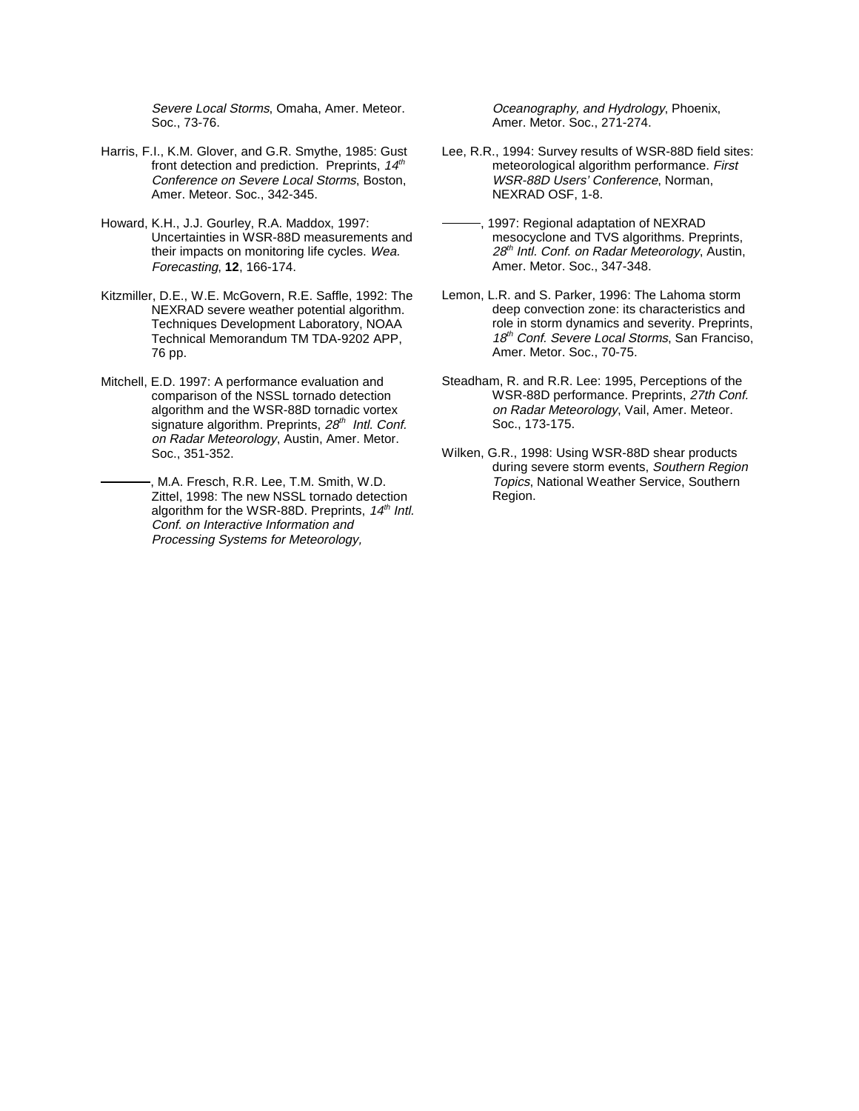Severe Local Storms, Omaha, Amer. Meteor. Soc., 73-76.

- Harris, F.I., K.M. Glover, and G.R. Smythe, 1985: Gust front detection and prediction. Preprints,  $14<sup>th</sup>$ Conference on Severe Local Storms, Boston, Amer. Meteor. Soc., 342-345.
- Howard, K.H., J.J. Gourley, R.A. Maddox, 1997: Uncertainties in WSR-88D measurements and their impacts on monitoring life cycles. Wea. Forecasting, **12**, 166-174.
- Kitzmiller, D.E., W.E. McGovern, R.E. Saffle, 1992: The NEXRAD severe weather potential algorithm. Techniques Development Laboratory, NOAA Technical Memorandum TM TDA-9202 APP, 76 pp.
- Mitchell, E.D. 1997: A performance evaluation and comparison of the NSSL tornado detection algorithm and the WSR-88D tornadic vortex signature algorithm. Preprints, 28<sup>th</sup> Intl. Conf. on Radar Meteorology, Austin, Amer. Metor. Soc., 351-352.
	- , M.A. Fresch, R.R. Lee, T.M. Smith, W.D. Zittel, 1998: The new NSSL tornado detection algorithm for the WSR-88D. Preprints,  $14<sup>th</sup>$  Intl. Conf. on Interactive Information and Processing Systems for Meteorology,

Oceanography, and Hydrology, Phoenix, Amer. Metor. Soc., 271-274.

- Lee, R.R., 1994: Survey results of WSR-88D field sites: meteorological algorithm performance. First WSR-88D Users' Conference, Norman, NEXRAD OSF, 1-8.
- , 1997: Regional adaptation of NEXRAD mesocyclone and TVS algorithms. Preprints, 28<sup>th</sup> Intl. Conf. on Radar Meteorology, Austin, Amer. Metor. Soc., 347-348.
- Lemon, L.R. and S. Parker, 1996: The Lahoma storm deep convection zone: its characteristics and role in storm dynamics and severity. Preprints, 18<sup>th</sup> Conf. Severe Local Storms, San Franciso, Amer. Metor. Soc., 70-75.
- Steadham, R. and R.R. Lee: 1995, Perceptions of the WSR-88D performance. Preprints, 27th Conf. on Radar Meteorology, Vail, Amer. Meteor. Soc., 173-175.
- Wilken, G.R., 1998: Using WSR-88D shear products during severe storm events, Southern Region Topics, National Weather Service, Southern Region.